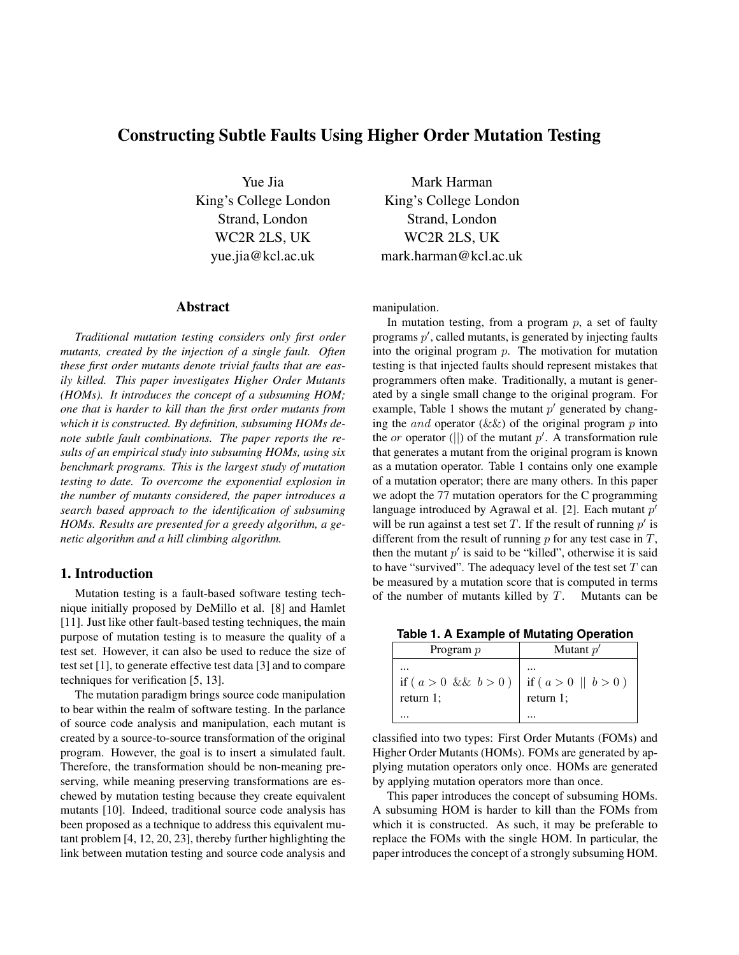# Constructing Subtle Faults Using Higher Order Mutation Testing

Yue Jia King's College London Strand, London WC2R 2LS, UK yue.jia@kcl.ac.uk

# Abstract

*Traditional mutation testing considers only first order mutants, created by the injection of a single fault. Often these first order mutants denote trivial faults that are easily killed. This paper investigates Higher Order Mutants (HOMs). It introduces the concept of a subsuming HOM; one that is harder to kill than the first order mutants from which it is constructed. By definition, subsuming HOMs denote subtle fault combinations. The paper reports the results of an empirical study into subsuming HOMs, using six benchmark programs. This is the largest study of mutation testing to date. To overcome the exponential explosion in the number of mutants considered, the paper introduces a search based approach to the identification of subsuming HOMs. Results are presented for a greedy algorithm, a genetic algorithm and a hill climbing algorithm.*

# 1. Introduction

Mutation testing is a fault-based software testing technique initially proposed by DeMillo et al. [8] and Hamlet [11]. Just like other fault-based testing techniques, the main purpose of mutation testing is to measure the quality of a test set. However, it can also be used to reduce the size of test set [1], to generate effective test data [3] and to compare techniques for verification [5, 13].

The mutation paradigm brings source code manipulation to bear within the realm of software testing. In the parlance of source code analysis and manipulation, each mutant is created by a source-to-source transformation of the original program. However, the goal is to insert a simulated fault. Therefore, the transformation should be non-meaning preserving, while meaning preserving transformations are eschewed by mutation testing because they create equivalent mutants [10]. Indeed, traditional source code analysis has been proposed as a technique to address this equivalent mutant problem [4, 12, 20, 23], thereby further highlighting the link between mutation testing and source code analysis and

Mark Harman King's College London Strand, London WC2R 2LS, UK mark.harman@kcl.ac.uk

manipulation.

In mutation testing, from a program  $p$ , a set of faulty programs  $p'$ , called mutants, is generated by injecting faults into the original program  $p$ . The motivation for mutation testing is that injected faults should represent mistakes that programmers often make. Traditionally, a mutant is generated by a single small change to the original program. For example, Table 1 shows the mutant  $p'$  generated by changing the and operator (&&) of the original program  $p$  into the *or* operator (||) of the mutant  $p'$ . A transformation rule that generates a mutant from the original program is known as a mutation operator. Table 1 contains only one example of a mutation operator; there are many others. In this paper we adopt the 77 mutation operators for the C programming language introduced by Agrawal et al. [2]. Each mutant  $p'$ will be run against a test set T. If the result of running  $p'$  is different from the result of running  $p$  for any test case in  $T$ , then the mutant  $p'$  is said to be "killed", otherwise it is said to have "survived". The adequacy level of the test set  $T$  can be measured by a mutation score that is computed in terms of the number of mutants killed by  $T$ . Mutants can be

**Table 1. A Example of Mutating Operation**

| Program $p$                                               | Mutant $p'$ |
|-----------------------------------------------------------|-------------|
| if $(a > 0 \&& b > 0)$ if $(a > 0    b > 0)$<br>return 1; |             |
|                                                           |             |

classified into two types: First Order Mutants (FOMs) and Higher Order Mutants (HOMs). FOMs are generated by applying mutation operators only once. HOMs are generated by applying mutation operators more than once.

This paper introduces the concept of subsuming HOMs. A subsuming HOM is harder to kill than the FOMs from which it is constructed. As such, it may be preferable to replace the FOMs with the single HOM. In particular, the paper introduces the concept of a strongly subsuming HOM.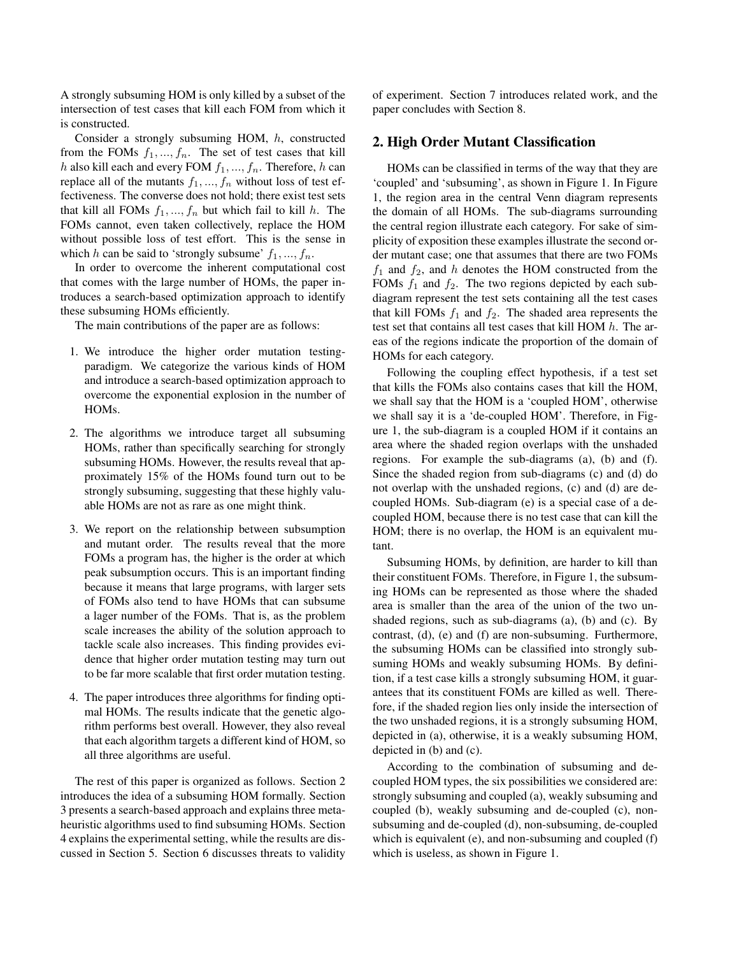A strongly subsuming HOM is only killed by a subset of the intersection of test cases that kill each FOM from which it is constructed.

Consider a strongly subsuming HOM, h, constructed from the FOMs  $f_1, ..., f_n$ . The set of test cases that kill h also kill each and every FOM  $f_1, ..., f_n$ . Therefore, h can replace all of the mutants  $f_1, ..., f_n$  without loss of test effectiveness. The converse does not hold; there exist test sets that kill all FOMs  $f_1, ..., f_n$  but which fail to kill h. The FOMs cannot, even taken collectively, replace the HOM without possible loss of test effort. This is the sense in which h can be said to 'strongly subsume'  $f_1, ..., f_n$ .

In order to overcome the inherent computational cost that comes with the large number of HOMs, the paper introduces a search-based optimization approach to identify these subsuming HOMs efficiently.

The main contributions of the paper are as follows:

- 1. We introduce the higher order mutation testingparadigm. We categorize the various kinds of HOM and introduce a search-based optimization approach to overcome the exponential explosion in the number of HOMs.
- 2. The algorithms we introduce target all subsuming HOMs, rather than specifically searching for strongly subsuming HOMs. However, the results reveal that approximately 15% of the HOMs found turn out to be strongly subsuming, suggesting that these highly valuable HOMs are not as rare as one might think.
- 3. We report on the relationship between subsumption and mutant order. The results reveal that the more FOMs a program has, the higher is the order at which peak subsumption occurs. This is an important finding because it means that large programs, with larger sets of FOMs also tend to have HOMs that can subsume a lager number of the FOMs. That is, as the problem scale increases the ability of the solution approach to tackle scale also increases. This finding provides evidence that higher order mutation testing may turn out to be far more scalable that first order mutation testing.
- 4. The paper introduces three algorithms for finding optimal HOMs. The results indicate that the genetic algorithm performs best overall. However, they also reveal that each algorithm targets a different kind of HOM, so all three algorithms are useful.

The rest of this paper is organized as follows. Section 2 introduces the idea of a subsuming HOM formally. Section 3 presents a search-based approach and explains three metaheuristic algorithms used to find subsuming HOMs. Section 4 explains the experimental setting, while the results are discussed in Section 5. Section 6 discusses threats to validity

of experiment. Section 7 introduces related work, and the paper concludes with Section 8.

# 2. High Order Mutant Classification

HOMs can be classified in terms of the way that they are 'coupled' and 'subsuming', as shown in Figure 1. In Figure 1, the region area in the central Venn diagram represents the domain of all HOMs. The sub-diagrams surrounding the central region illustrate each category. For sake of simplicity of exposition these examples illustrate the second order mutant case; one that assumes that there are two FOMs  $f_1$  and  $f_2$ , and h denotes the HOM constructed from the FOMs  $f_1$  and  $f_2$ . The two regions depicted by each subdiagram represent the test sets containing all the test cases that kill FOMs  $f_1$  and  $f_2$ . The shaded area represents the test set that contains all test cases that kill HOM h. The areas of the regions indicate the proportion of the domain of HOMs for each category.

Following the coupling effect hypothesis, if a test set that kills the FOMs also contains cases that kill the HOM, we shall say that the HOM is a 'coupled HOM', otherwise we shall say it is a 'de-coupled HOM'. Therefore, in Figure 1, the sub-diagram is a coupled HOM if it contains an area where the shaded region overlaps with the unshaded regions. For example the sub-diagrams (a), (b) and (f). Since the shaded region from sub-diagrams (c) and (d) do not overlap with the unshaded regions, (c) and (d) are decoupled HOMs. Sub-diagram (e) is a special case of a decoupled HOM, because there is no test case that can kill the HOM; there is no overlap, the HOM is an equivalent mutant.

Subsuming HOMs, by definition, are harder to kill than their constituent FOMs. Therefore, in Figure 1, the subsuming HOMs can be represented as those where the shaded area is smaller than the area of the union of the two unshaded regions, such as sub-diagrams (a), (b) and (c). By contrast, (d), (e) and (f) are non-subsuming. Furthermore, the subsuming HOMs can be classified into strongly subsuming HOMs and weakly subsuming HOMs. By definition, if a test case kills a strongly subsuming HOM, it guarantees that its constituent FOMs are killed as well. Therefore, if the shaded region lies only inside the intersection of the two unshaded regions, it is a strongly subsuming HOM, depicted in (a), otherwise, it is a weakly subsuming HOM, depicted in (b) and (c).

According to the combination of subsuming and decoupled HOM types, the six possibilities we considered are: strongly subsuming and coupled (a), weakly subsuming and coupled (b), weakly subsuming and de-coupled (c), nonsubsuming and de-coupled (d), non-subsuming, de-coupled which is equivalent (e), and non-subsuming and coupled (f) which is useless, as shown in Figure 1.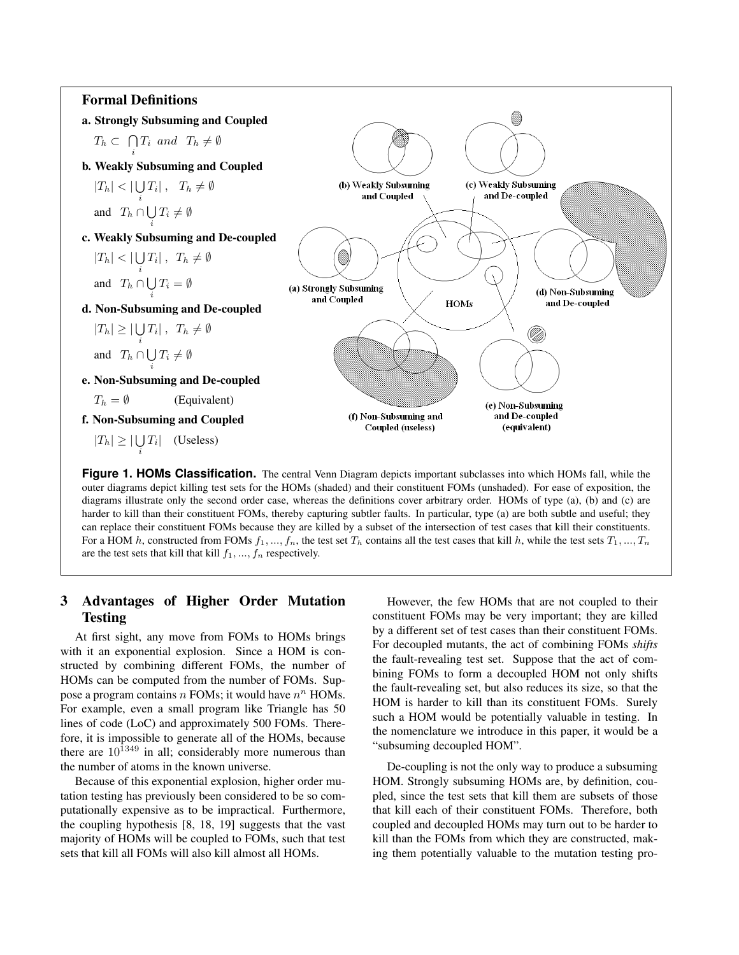

**Figure 1. HOMs Classification.** The central Venn Diagram depicts important subclasses into which HOMs fall, while the outer diagrams depict killing test sets for the HOMs (shaded) and their constituent FOMs (unshaded). For ease of exposition, the diagrams illustrate only the second order case, whereas the definitions cover arbitrary order. HOMs of type (a), (b) and (c) are harder to kill than their constituent FOMs, thereby capturing subtler faults. In particular, type (a) are both subtle and useful; they can replace their constituent FOMs because they are killed by a subset of the intersection of test cases that kill their constituents. For a HOM h, constructed from FOMs  $f_1, ..., f_n$ , the test set  $T_h$  contains all the test cases that kill h, while the test sets  $T_1, ..., T_n$ are the test sets that kill that kill  $f_1, ..., f_n$  respectively.

# 3 Advantages of Higher Order Mutation Testing

At first sight, any move from FOMs to HOMs brings with it an exponential explosion. Since a HOM is constructed by combining different FOMs, the number of HOMs can be computed from the number of FOMs. Suppose a program contains  $n$  FOMs; it would have  $n^n$  HOMs. For example, even a small program like Triangle has 50 lines of code (LoC) and approximately 500 FOMs. Therefore, it is impossible to generate all of the HOMs, because there are  $10^{1349}$  in all; considerably more numerous than the number of atoms in the known universe.

Because of this exponential explosion, higher order mutation testing has previously been considered to be so computationally expensive as to be impractical. Furthermore, the coupling hypothesis [8, 18, 19] suggests that the vast majority of HOMs will be coupled to FOMs, such that test sets that kill all FOMs will also kill almost all HOMs.

However, the few HOMs that are not coupled to their constituent FOMs may be very important; they are killed by a different set of test cases than their constituent FOMs. For decoupled mutants, the act of combining FOMs *shifts* the fault-revealing test set. Suppose that the act of combining FOMs to form a decoupled HOM not only shifts the fault-revealing set, but also reduces its size, so that the HOM is harder to kill than its constituent FOMs. Surely such a HOM would be potentially valuable in testing. In the nomenclature we introduce in this paper, it would be a "subsuming decoupled HOM".

De-coupling is not the only way to produce a subsuming HOM. Strongly subsuming HOMs are, by definition, coupled, since the test sets that kill them are subsets of those that kill each of their constituent FOMs. Therefore, both coupled and decoupled HOMs may turn out to be harder to kill than the FOMs from which they are constructed, making them potentially valuable to the mutation testing pro-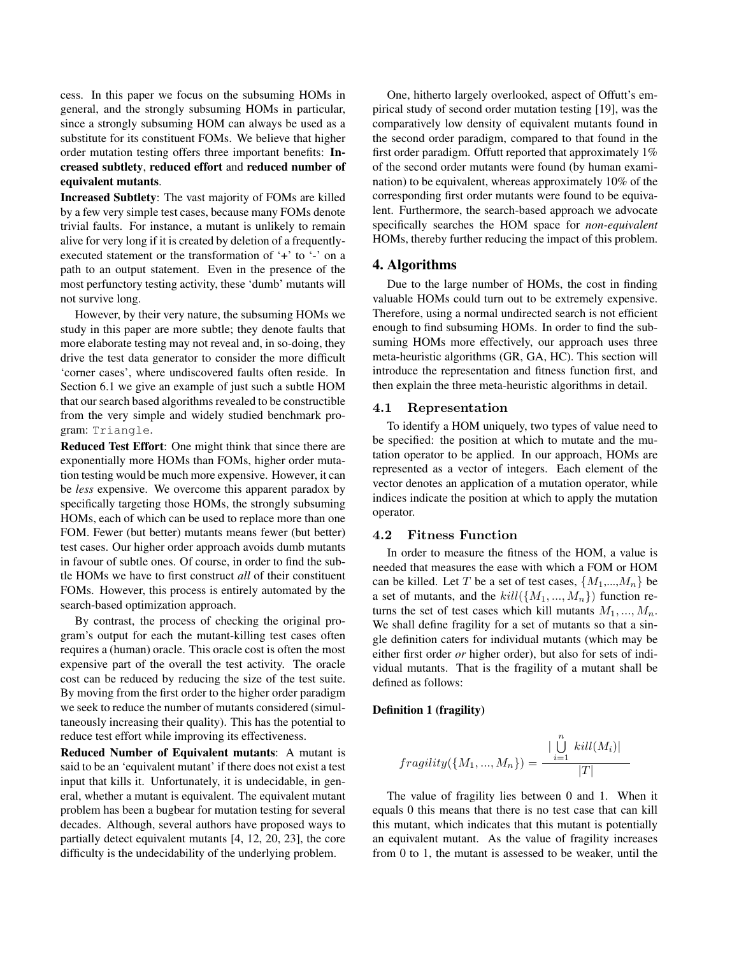cess. In this paper we focus on the subsuming HOMs in general, and the strongly subsuming HOMs in particular, since a strongly subsuming HOM can always be used as a substitute for its constituent FOMs. We believe that higher order mutation testing offers three important benefits: Increased subtlety, reduced effort and reduced number of equivalent mutants.

Increased Subtlety: The vast majority of FOMs are killed by a few very simple test cases, because many FOMs denote trivial faults. For instance, a mutant is unlikely to remain alive for very long if it is created by deletion of a frequentlyexecuted statement or the transformation of '+' to '-' on a path to an output statement. Even in the presence of the most perfunctory testing activity, these 'dumb' mutants will not survive long.

However, by their very nature, the subsuming HOMs we study in this paper are more subtle; they denote faults that more elaborate testing may not reveal and, in so-doing, they drive the test data generator to consider the more difficult 'corner cases', where undiscovered faults often reside. In Section 6.1 we give an example of just such a subtle HOM that our search based algorithms revealed to be constructible from the very simple and widely studied benchmark program: Triangle.

Reduced Test Effort: One might think that since there are exponentially more HOMs than FOMs, higher order mutation testing would be much more expensive. However, it can be *less* expensive. We overcome this apparent paradox by specifically targeting those HOMs, the strongly subsuming HOMs, each of which can be used to replace more than one FOM. Fewer (but better) mutants means fewer (but better) test cases. Our higher order approach avoids dumb mutants in favour of subtle ones. Of course, in order to find the subtle HOMs we have to first construct *all* of their constituent FOMs. However, this process is entirely automated by the search-based optimization approach.

By contrast, the process of checking the original program's output for each the mutant-killing test cases often requires a (human) oracle. This oracle cost is often the most expensive part of the overall the test activity. The oracle cost can be reduced by reducing the size of the test suite. By moving from the first order to the higher order paradigm we seek to reduce the number of mutants considered (simultaneously increasing their quality). This has the potential to reduce test effort while improving its effectiveness.

Reduced Number of Equivalent mutants: A mutant is said to be an 'equivalent mutant' if there does not exist a test input that kills it. Unfortunately, it is undecidable, in general, whether a mutant is equivalent. The equivalent mutant problem has been a bugbear for mutation testing for several decades. Although, several authors have proposed ways to partially detect equivalent mutants [4, 12, 20, 23], the core difficulty is the undecidability of the underlying problem.

One, hitherto largely overlooked, aspect of Offutt's empirical study of second order mutation testing [19], was the comparatively low density of equivalent mutants found in the second order paradigm, compared to that found in the first order paradigm. Offutt reported that approximately 1% of the second order mutants were found (by human examination) to be equivalent, whereas approximately 10% of the corresponding first order mutants were found to be equivalent. Furthermore, the search-based approach we advocate specifically searches the HOM space for *non-equivalent* HOMs, thereby further reducing the impact of this problem.

# 4. Algorithms

Due to the large number of HOMs, the cost in finding valuable HOMs could turn out to be extremely expensive. Therefore, using a normal undirected search is not efficient enough to find subsuming HOMs. In order to find the subsuming HOMs more effectively, our approach uses three meta-heuristic algorithms (GR, GA, HC). This section will introduce the representation and fitness function first, and then explain the three meta-heuristic algorithms in detail.

#### 4.1 Representation

To identify a HOM uniquely, two types of value need to be specified: the position at which to mutate and the mutation operator to be applied. In our approach, HOMs are represented as a vector of integers. Each element of the vector denotes an application of a mutation operator, while indices indicate the position at which to apply the mutation operator.

#### 4.2 Fitness Function

In order to measure the fitness of the HOM, a value is needed that measures the ease with which a FOM or HOM can be killed. Let T be a set of test cases,  $\{M_1, ..., M_n\}$  be a set of mutants, and the  $kill({M_1,..., M_n})$  function returns the set of test cases which kill mutants  $M_1, ..., M_n$ . We shall define fragility for a set of mutants so that a single definition caters for individual mutants (which may be either first order *or* higher order), but also for sets of individual mutants. That is the fragility of a mutant shall be defined as follows:

#### Definition 1 (fragility)

$$
fragility({M_1, ..., M_n}) = \frac{|\bigcup_{i=1}^{n} kill(M_i)|}{|T|}
$$

The value of fragility lies between 0 and 1. When it equals 0 this means that there is no test case that can kill this mutant, which indicates that this mutant is potentially an equivalent mutant. As the value of fragility increases from 0 to 1, the mutant is assessed to be weaker, until the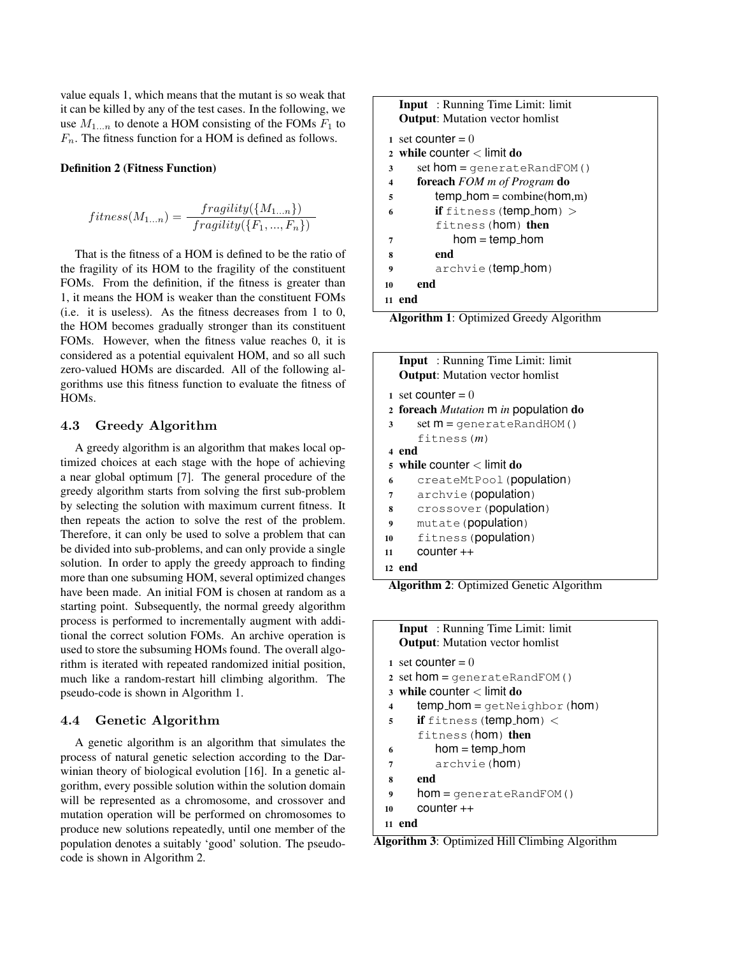value equals 1, which means that the mutant is so weak that it can be killed by any of the test cases. In the following, we use  $M_{1...n}$  to denote a HOM consisting of the FOMs  $F_1$  to  $F_n$ . The fitness function for a HOM is defined as follows.

#### Definition 2 (Fitness Function)

$$
fitness(M_{1...n}) = \frac{fragility(\{M_{1...n}\})}{fragility(\{F_1,...,F_n\})}
$$

That is the fitness of a HOM is defined to be the ratio of the fragility of its HOM to the fragility of the constituent FOMs. From the definition, if the fitness is greater than 1, it means the HOM is weaker than the constituent FOMs (i.e. it is useless). As the fitness decreases from 1 to 0, the HOM becomes gradually stronger than its constituent FOMs. However, when the fitness value reaches 0, it is considered as a potential equivalent HOM, and so all such zero-valued HOMs are discarded. All of the following algorithms use this fitness function to evaluate the fitness of HOMs.

# 4.3 Greedy Algorithm

A greedy algorithm is an algorithm that makes local optimized choices at each stage with the hope of achieving a near global optimum [7]. The general procedure of the greedy algorithm starts from solving the first sub-problem by selecting the solution with maximum current fitness. It then repeats the action to solve the rest of the problem. Therefore, it can only be used to solve a problem that can be divided into sub-problems, and can only provide a single solution. In order to apply the greedy approach to finding more than one subsuming HOM, several optimized changes have been made. An initial FOM is chosen at random as a starting point. Subsequently, the normal greedy algorithm process is performed to incrementally augment with additional the correct solution FOMs. An archive operation is used to store the subsuming HOMs found. The overall algorithm is iterated with repeated randomized initial position, much like a random-restart hill climbing algorithm. The pseudo-code is shown in Algorithm 1.

# 4.4 Genetic Algorithm

A genetic algorithm is an algorithm that simulates the process of natural genetic selection according to the Darwinian theory of biological evolution [16]. In a genetic algorithm, every possible solution within the solution domain will be represented as a chromosome, and crossover and mutation operation will be performed on chromosomes to produce new solutions repeatedly, until one member of the population denotes a suitably 'good' solution. The pseudocode is shown in Algorithm 2.

Input : Running Time Limit: limit Output: Mutation vector homlist 1 set counter  $= 0$ <sup>2</sup> while counter < limit do  $3$  set hom = generateRandFOM() <sup>4</sup> foreach *FOM m of Program* do  $5$  temp\_hom = combine(hom,m) 6 if fitness (temp\_hom)  $>$ fitness (hom) then  $7$  hom = temp\_hom <sup>8</sup> end 9 archvie(temp\_hom) <sup>10</sup> end

#### <sup>11</sup> end

Algorithm 1: Optimized Greedy Algorithm



Algorithm 2: Optimized Genetic Algorithm

```
Input : Running Time Limit: limit
  Output: Mutation vector homlist
1 set counter = 02 \text{ set } \text{hom} = \text{generateRandFOM}()3 while counter < limit do
4 temp hom = qetNeighbor(hom)
\mathfrak s if fitness (temp_hom) <
     fitness (hom) then
6 hom = temp_hom
7 archvie(hom)
8 end
9 hom = generateRandFOM()
10 counter ++
11 end
```
Algorithm 3: Optimized Hill Climbing Algorithm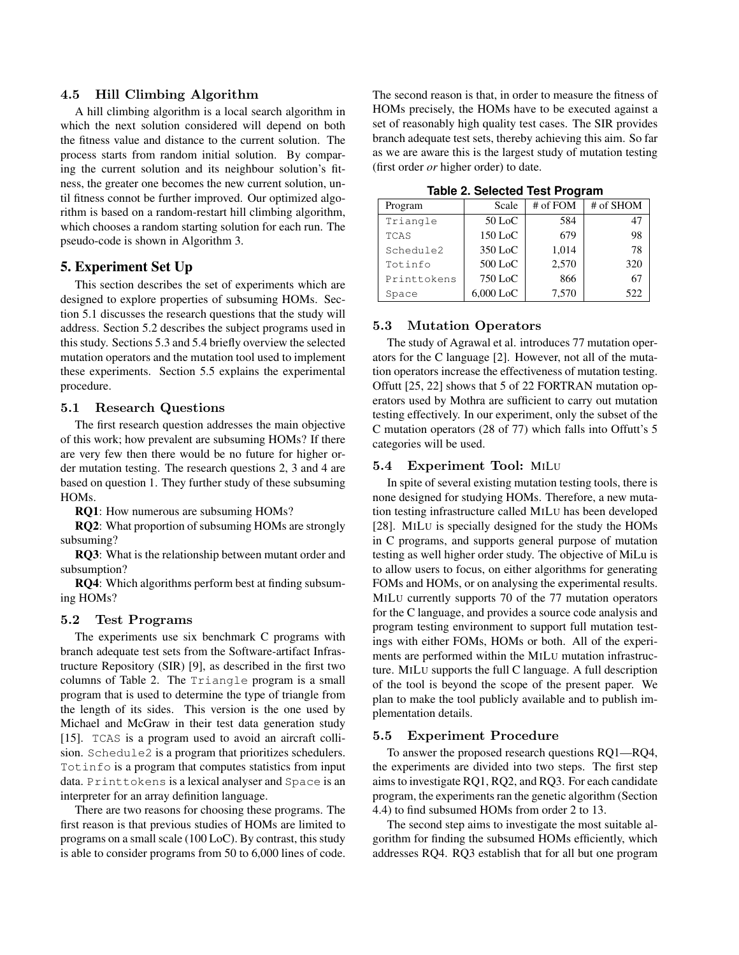### 4.5 Hill Climbing Algorithm

A hill climbing algorithm is a local search algorithm in which the next solution considered will depend on both the fitness value and distance to the current solution. The process starts from random initial solution. By comparing the current solution and its neighbour solution's fitness, the greater one becomes the new current solution, until fitness connot be further improved. Our optimized algorithm is based on a random-restart hill climbing algorithm, which chooses a random starting solution for each run. The pseudo-code is shown in Algorithm 3.

# 5. Experiment Set Up

This section describes the set of experiments which are designed to explore properties of subsuming HOMs. Section 5.1 discusses the research questions that the study will address. Section 5.2 describes the subject programs used in this study. Sections 5.3 and 5.4 briefly overview the selected mutation operators and the mutation tool used to implement these experiments. Section 5.5 explains the experimental procedure.

### 5.1 Research Questions

The first research question addresses the main objective of this work; how prevalent are subsuming HOMs? If there are very few then there would be no future for higher order mutation testing. The research questions 2, 3 and 4 are based on question 1. They further study of these subsuming HOMs.

RQ1: How numerous are subsuming HOMs?

RQ2: What proportion of subsuming HOMs are strongly subsuming?

RQ3: What is the relationship between mutant order and subsumption?

RQ4: Which algorithms perform best at finding subsuming HOMs?

### 5.2 Test Programs

The experiments use six benchmark C programs with branch adequate test sets from the Software-artifact Infrastructure Repository (SIR) [9], as described in the first two columns of Table 2. The Triangle program is a small program that is used to determine the type of triangle from the length of its sides. This version is the one used by Michael and McGraw in their test data generation study [15]. TCAS is a program used to avoid an aircraft collision. Schedule2 is a program that prioritizes schedulers. Totinfo is a program that computes statistics from input data. Printtokens is a lexical analyser and Space is an interpreter for an array definition language.

There are two reasons for choosing these programs. The first reason is that previous studies of HOMs are limited to programs on a small scale (100 LoC). By contrast, this study is able to consider programs from 50 to 6,000 lines of code. The second reason is that, in order to measure the fitness of HOMs precisely, the HOMs have to be executed against a set of reasonably high quality test cases. The SIR provides branch adequate test sets, thereby achieving this aim. So far as we are aware this is the largest study of mutation testing (first order *or* higher order) to date.

|  | Table 2. Selected Test Program |  |  |
|--|--------------------------------|--|--|
|--|--------------------------------|--|--|

| Program     | Scale       | # of FOM | # of SHOM |
|-------------|-------------|----------|-----------|
| Triangle    | $50$ LoC    | 584      | 47        |
| <b>TCAS</b> | 150 LoC     | 679      | 98        |
| Schedule2   | 350 LoC     | 1,014    | 78        |
| Totinfo     | $500$ LoC   | 2,570    | 320       |
| Printtokens | 750 LoC     | 866      | 67        |
| Space       | $6,000$ LoC | 7,570    | 522       |

#### 5.3 Mutation Operators

The study of Agrawal et al. introduces 77 mutation operators for the C language [2]. However, not all of the mutation operators increase the effectiveness of mutation testing. Offutt [25, 22] shows that 5 of 22 FORTRAN mutation operators used by Mothra are sufficient to carry out mutation testing effectively. In our experiment, only the subset of the C mutation operators (28 of 77) which falls into Offutt's 5 categories will be used.

#### 5.4 Experiment Tool: MILU

In spite of several existing mutation testing tools, there is none designed for studying HOMs. Therefore, a new mutation testing infrastructure called MILU has been developed [28]. MILU is specially designed for the study the HOMs in C programs, and supports general purpose of mutation testing as well higher order study. The objective of MiLu is to allow users to focus, on either algorithms for generating FOMs and HOMs, or on analysing the experimental results. MILU currently supports 70 of the 77 mutation operators for the C language, and provides a source code analysis and program testing environment to support full mutation testings with either FOMs, HOMs or both. All of the experiments are performed within the MILU mutation infrastructure. MILU supports the full C language. A full description of the tool is beyond the scope of the present paper. We plan to make the tool publicly available and to publish implementation details.

#### 5.5 Experiment Procedure

To answer the proposed research questions RQ1—RQ4, the experiments are divided into two steps. The first step aims to investigate RQ1, RQ2, and RQ3. For each candidate program, the experiments ran the genetic algorithm (Section 4.4) to find subsumed HOMs from order 2 to 13.

The second step aims to investigate the most suitable algorithm for finding the subsumed HOMs efficiently, which addresses RQ4. RQ3 establish that for all but one program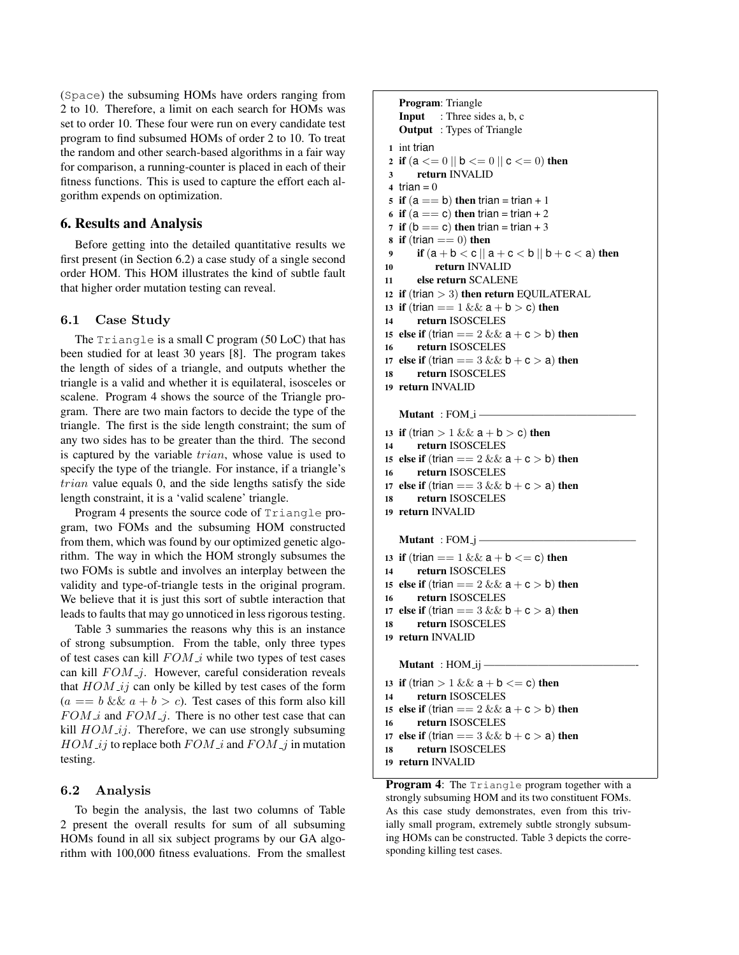(Space) the subsuming HOMs have orders ranging from 2 to 10. Therefore, a limit on each search for HOMs was set to order 10. These four were run on every candidate test program to find subsumed HOMs of order 2 to 10. To treat the random and other search-based algorithms in a fair way for comparison, a running-counter is placed in each of their fitness functions. This is used to capture the effort each algorithm expends on optimization.

# 6. Results and Analysis

Before getting into the detailed quantitative results we first present (in Section 6.2) a case study of a single second order HOM. This HOM illustrates the kind of subtle fault that higher order mutation testing can reveal.

# 6.1 Case Study

The Triangle is a small C program (50 LoC) that has been studied for at least 30 years [8]. The program takes the length of sides of a triangle, and outputs whether the triangle is a valid and whether it is equilateral, isosceles or scalene. Program 4 shows the source of the Triangle program. There are two main factors to decide the type of the triangle. The first is the side length constraint; the sum of any two sides has to be greater than the third. The second is captured by the variable *trian*, whose value is used to specify the type of the triangle. For instance, if a triangle's trian value equals 0, and the side lengths satisfy the side length constraint, it is a 'valid scalene' triangle.

Program 4 presents the source code of Triangle program, two FOMs and the subsuming HOM constructed from them, which was found by our optimized genetic algorithm. The way in which the HOM strongly subsumes the two FOMs is subtle and involves an interplay between the validity and type-of-triangle tests in the original program. We believe that it is just this sort of subtle interaction that leads to faults that may go unnoticed in less rigorous testing.

Table 3 summaries the reasons why this is an instance of strong subsumption. From the table, only three types of test cases can kill  $FOM_i$  while two types of test cases can kill  $FOM_1$ . However, careful consideration reveals that  $HOM_{ij}$  can only be killed by test cases of the form  $(a == b \&\& a + b > c)$ . Test cases of this form also kill  $FOM_i$  and  $FOM_i$ . There is no other test case that can kill  $HOM_{ij}$ . Therefore, we can use strongly subsuming  $HOM_{i}$  i to replace both  $FOM_{i}$  and  $FOM_{j}$  in mutation testing.

### 6.2 Analysis

To begin the analysis, the last two columns of Table 2 present the overall results for sum of all subsuming HOMs found in all six subject programs by our GA algorithm with 100,000 fitness evaluations. From the smallest

Program: Triangle Input : Three sides a, b, c Output : Types of Triangle 1 int trian 2 if  $(a \le 0 \mid b \le 0 \mid c \le 0)$  then 3 return INVALID 4 trian  $= 0$ 5 if  $(a == b)$  then trian = trian + 1 6 if  $(a == c)$  then trian = trian + 2 7 if  $(b == c)$  then trian = trian + 3 8 if (trian  $== 0$ ) then 9 if  $(a + b < c || a + c < b || b + c < a$  then 10 return INVALID 11 else return SCALENE 12 if (trian  $>$  3) then return EQUILATERAL 13 if (trian  $== 1 & 2 & 2 + b > c$ ) then 14 return ISOSCELES 15 else if (trian  $== 2 \&\& a + c > b$ ) then 16 return ISOSCELES 17 else if (trian  $== 3 \&\& b + c > a$ ) then 18 return ISOSCELES 19 return INVALID

#### Mutant :  $FOM_i$  —

```
13 if (trian > 1 & & a + b > c) then
14 return ISOSCELES
15 else if (trian == 2 \&\& a + c > b) then
16 return ISOSCELES
17 else if (trian == 3 \&\& b + c > a) then
18 return ISOSCELES
19 return INVALID
```
Mutant :  $FOM_i$  —— 13 if (trian  $== 1$  & &  $a + b \leq c$ ) then 14 return ISOSCELES 15 else if (trian  $== 2 \&\& a + c > b$ ) then 16 return ISOSCELES 17 else if (trian  $== 3 \&\& b + c > a$ ) then 18 return ISOSCELES 19 return INVALID Mutant :  $HOM_i$  = 13 if (trian  $> 1$  & & a + b <= c) then 14 return ISOSCELES 15 else if (trian  $== 2 \&\& a + c > b$ ) then 16 return ISOSCELES 17 else if (trian  $== 3 \&\& b + c > a$ ) then 18 return ISOSCELES 19 return INVALID

Program 4: The Triangle program together with a strongly subsuming HOM and its two constituent FOMs. As this case study demonstrates, even from this trivially small program, extremely subtle strongly subsuming HOMs can be constructed. Table 3 depicts the corresponding killing test cases.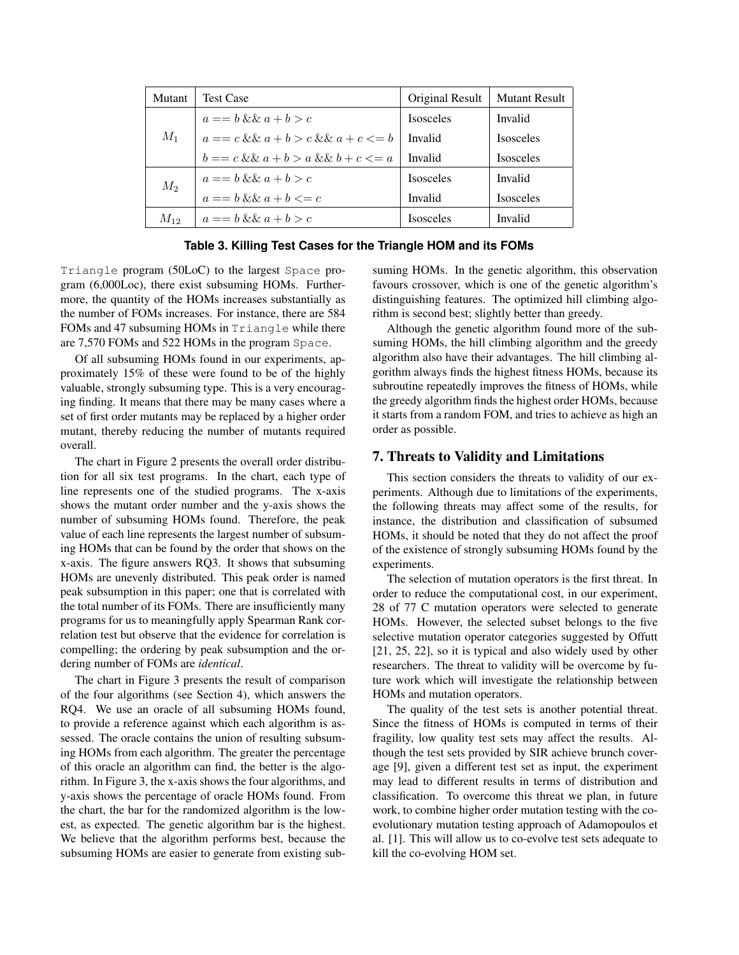| Mutant   | <b>Test Case</b>                          | Original Result  | <b>Mutant Result</b> |
|----------|-------------------------------------------|------------------|----------------------|
|          | $a == b \&\& a + b > c$                   | <b>Isosceles</b> | Invalid              |
| $M_1$    | $a = c \&\& a + b > c \&\& a + c \leq b$  | Invalid          | <b>Isosceles</b>     |
|          | $b == c \&\& a + b > a \&\& b + c \leq a$ | Invalid          | <b>Isosceles</b>     |
| $M_2$    | $a == b \&\& a + b > c$                   | <b>Isosceles</b> | Invalid              |
|          | $a == b \&\& a + b <= c$                  | Invalid          | <b>Isosceles</b>     |
| $M_{12}$ | $a == b \&\& a + b > c$                   | <b>Isosceles</b> | Invalid              |

## **Table 3. Killing Test Cases for the Triangle HOM and its FOMs**

Triangle program (50LoC) to the largest Space program (6,000Loc), there exist subsuming HOMs. Furthermore, the quantity of the HOMs increases substantially as the number of FOMs increases. For instance, there are 584 FOMs and 47 subsuming HOMs in Triangle while there are 7,570 FOMs and 522 HOMs in the program Space.

Of all subsuming HOMs found in our experiments, approximately 15% of these were found to be of the highly valuable, strongly subsuming type. This is a very encouraging finding. It means that there may be many cases where a set of first order mutants may be replaced by a higher order mutant, thereby reducing the number of mutants required overall.

The chart in Figure 2 presents the overall order distribution for all six test programs. In the chart, each type of line represents one of the studied programs. The x-axis shows the mutant order number and the y-axis shows the number of subsuming HOMs found. Therefore, the peak value of each line represents the largest number of subsuming HOMs that can be found by the order that shows on the x-axis. The figure answers RQ3. It shows that subsuming HOMs are unevenly distributed. This peak order is named peak subsumption in this paper; one that is correlated with the total number of its FOMs. There are insufficiently many programs for us to meaningfully apply Spearman Rank correlation test but observe that the evidence for correlation is compelling; the ordering by peak subsumption and the ordering number of FOMs are *identical*.

The chart in Figure 3 presents the result of comparison of the four algorithms (see Section 4), which answers the RQ4. We use an oracle of all subsuming HOMs found, to provide a reference against which each algorithm is assessed. The oracle contains the union of resulting subsuming HOMs from each algorithm. The greater the percentage of this oracle an algorithm can find, the better is the algorithm. In Figure 3, the x-axis shows the four algorithms, and y-axis shows the percentage of oracle HOMs found. From the chart, the bar for the randomized algorithm is the lowest, as expected. The genetic algorithm bar is the highest. We believe that the algorithm performs best, because the subsuming HOMs are easier to generate from existing subsuming HOMs. In the genetic algorithm, this observation favours crossover, which is one of the genetic algorithm's distinguishing features. The optimized hill climbing algorithm is second best; slightly better than greedy.

Although the genetic algorithm found more of the subsuming HOMs, the hill climbing algorithm and the greedy algorithm also have their advantages. The hill climbing algorithm always finds the highest fitness HOMs, because its subroutine repeatedly improves the fitness of HOMs, while the greedy algorithm finds the highest order HOMs, because it starts from a random FOM, and tries to achieve as high an order as possible.

# 7. Threats to Validity and Limitations

This section considers the threats to validity of our experiments. Although due to limitations of the experiments, the following threats may affect some of the results, for instance, the distribution and classification of subsumed HOMs, it should be noted that they do not affect the proof of the existence of strongly subsuming HOMs found by the experiments.

The selection of mutation operators is the first threat. In order to reduce the computational cost, in our experiment, 28 of 77 C mutation operators were selected to generate HOMs. However, the selected subset belongs to the five selective mutation operator categories suggested by Offutt [21, 25, 22], so it is typical and also widely used by other researchers. The threat to validity will be overcome by future work which will investigate the relationship between HOMs and mutation operators.

The quality of the test sets is another potential threat. Since the fitness of HOMs is computed in terms of their fragility, low quality test sets may affect the results. Although the test sets provided by SIR achieve brunch coverage [9], given a different test set as input, the experiment may lead to different results in terms of distribution and classification. To overcome this threat we plan, in future work, to combine higher order mutation testing with the coevolutionary mutation testing approach of Adamopoulos et al. [1]. This will allow us to co-evolve test sets adequate to kill the co-evolving HOM set.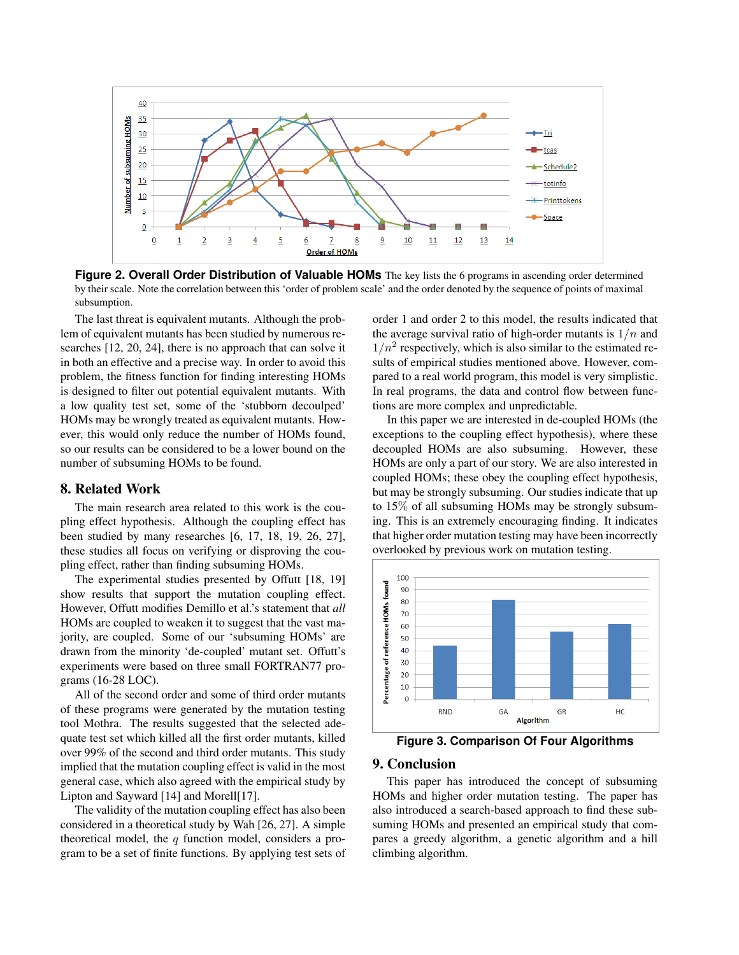

**Figure 2. Overall Order Distribution of Valuable HOMs** The key lists the 6 programs in ascending order determined by their scale. Note the correlation between this 'order of problem scale' and the order denoted by the sequence of points of maximal subsumption.

The last threat is equivalent mutants. Although the problem of equivalent mutants has been studied by numerous researches [12, 20, 24], there is no approach that can solve it in both an effective and a precise way. In order to avoid this problem, the fitness function for finding interesting HOMs is designed to filter out potential equivalent mutants. With a low quality test set, some of the 'stubborn decoulped' HOMs may be wrongly treated as equivalent mutants. However, this would only reduce the number of HOMs found, so our results can be considered to be a lower bound on the number of subsuming HOMs to be found.

### 8. Related Work

The main research area related to this work is the coupling effect hypothesis. Although the coupling effect has been studied by many researches [6, 17, 18, 19, 26, 27], these studies all focus on verifying or disproving the coupling effect, rather than finding subsuming HOMs.

The experimental studies presented by Offutt [18, 19] show results that support the mutation coupling effect. However, Offutt modifies Demillo et al.'s statement that *all* HOMs are coupled to weaken it to suggest that the vast majority, are coupled. Some of our 'subsuming HOMs' are drawn from the minority 'de-coupled' mutant set. Offutt's experiments were based on three small FORTRAN77 programs (16-28 LOC).

All of the second order and some of third order mutants of these programs were generated by the mutation testing tool Mothra. The results suggested that the selected adequate test set which killed all the first order mutants, killed over 99% of the second and third order mutants. This study implied that the mutation coupling effect is valid in the most general case, which also agreed with the empirical study by Lipton and Sayward [14] and Morell[17].

The validity of the mutation coupling effect has also been considered in a theoretical study by Wah [26, 27]. A simple theoretical model, the  $q$  function model, considers a program to be a set of finite functions. By applying test sets of order 1 and order 2 to this model, the results indicated that the average survival ratio of high-order mutants is  $1/n$  and  $1/n^2$  respectively, which is also similar to the estimated results of empirical studies mentioned above. However, compared to a real world program, this model is very simplistic. In real programs, the data and control flow between functions are more complex and unpredictable.

In this paper we are interested in de-coupled HOMs (the exceptions to the coupling effect hypothesis), where these decoupled HOMs are also subsuming. However, these HOMs are only a part of our story. We are also interested in coupled HOMs; these obey the coupling effect hypothesis, but may be strongly subsuming. Our studies indicate that up to 15% of all subsuming HOMs may be strongly subsuming. This is an extremely encouraging finding. It indicates that higher order mutation testing may have been incorrectly overlooked by previous work on mutation testing.



**Figure 3. Comparison Of Four Algorithms**

### 9. Conclusion

This paper has introduced the concept of subsuming HOMs and higher order mutation testing. The paper has also introduced a search-based approach to find these subsuming HOMs and presented an empirical study that compares a greedy algorithm, a genetic algorithm and a hill climbing algorithm.